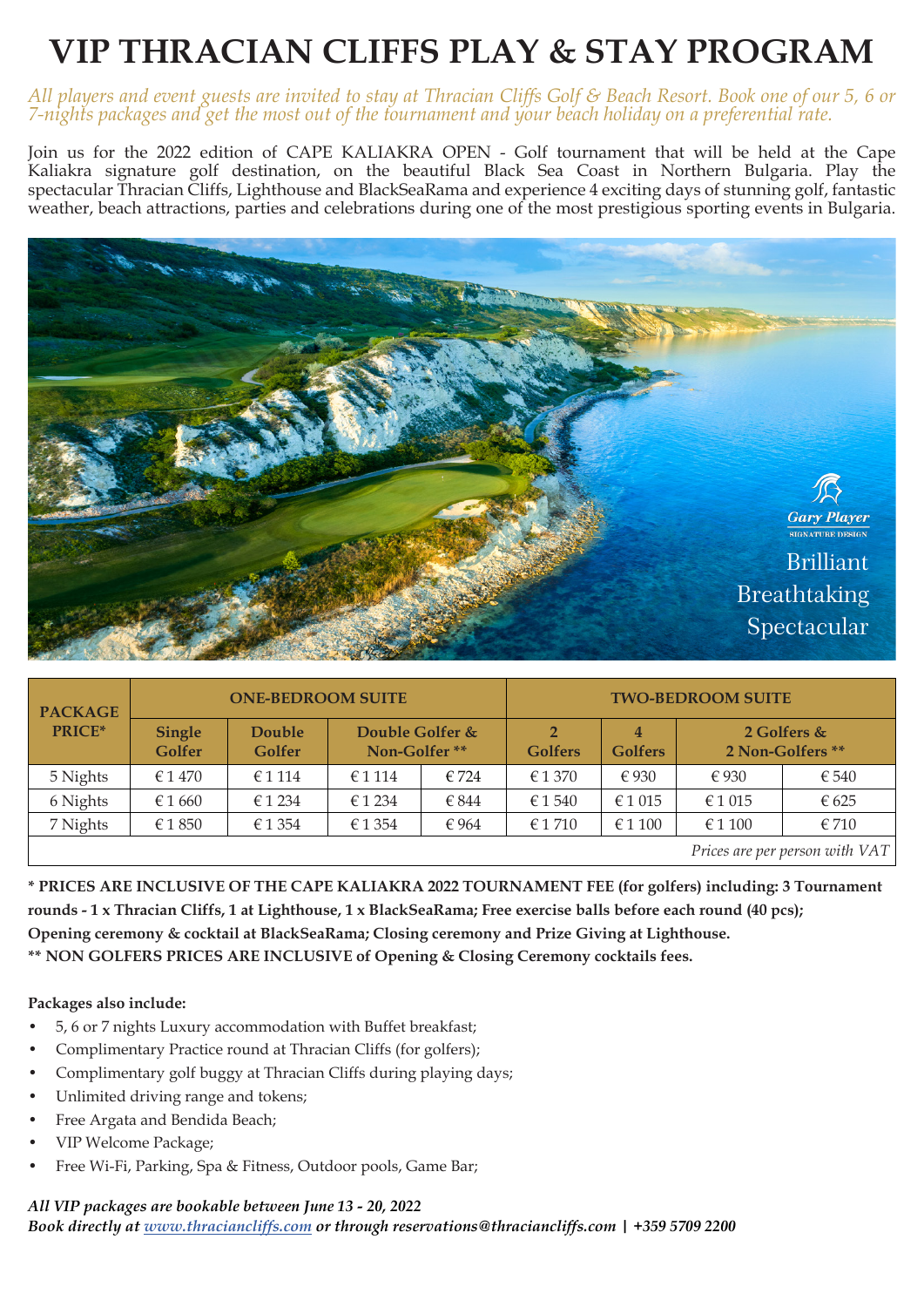# **VIP THRACIAN CLIFFS PLAY & STAY PROGRAM**

### *All players and event guests are invited to stay at Thracian Cliffs Golf & Beach Resort. Book one of our 5, 6 or 7-nights packages and get the most out of the tournament and your beach holiday on a preferential rate.*

Join us for the 2022 edition of CAPE KALIAKRA OPEN - Golf tournament that will be held at the Cape Kaliakra signature golf destination, on the beautiful Black Sea Coast in Northern Bulgaria. Play the spectacular Thracian Cliffs, Lighthouse and BlackSeaRama and experience 4 exciting days of stunning golf, fantastic weather, beach attractions, parties and celebrations during one of the most prestigious sporting events in Bulgaria.



| <b>PACKAGE</b><br>PRICE* | <b>ONE-BEDROOM SUITE</b> |                  |                                 |                | <b>TWO-BEDROOM SUITE</b>         |                     |                                 |                                |
|--------------------------|--------------------------|------------------|---------------------------------|----------------|----------------------------------|---------------------|---------------------------------|--------------------------------|
|                          | <b>Single</b><br>Golfer  | Double<br>Golfer | Double Golfer &<br>Non-Golfer** |                | $\overline{2}$<br><b>Golfers</b> | 4<br><b>Golfers</b> | 2 Golfers &<br>2 Non-Golfers ** |                                |
| 5 Nights                 | $\epsilon$ 1 470         | € 1 1 1 4        | € 1 1 1 4                       | $\epsilon$ 724 | €1370                            | $\epsilon$ 930      | € 930                           | $\epsilon$ 540                 |
| 6 Nights                 | € 1 660                  | $\epsilon$ 1 234 | € 1 234                         | € 844          | € 1 540                          | € 1 015             | $\epsilon$ 1 015                | € 625                          |
| 7 Nights                 | € 1850                   | € 1 354          | €1354                           | € 964          | $\epsilon$ 1710                  | $\in$ 1 100         | € 1 100                         | € 710                          |
|                          |                          |                  |                                 |                |                                  |                     |                                 | Prices are per person with VAT |

**\* PRICES ARE INCLUSIVE OF THE CAPE KALIAKRA 2022 TOURNAMENT FEE (for golfers) including: 3 Tournament rounds - 1 x Thracian Cliffs, 1 at Lighthouse, 1 x BlackSeaRama; Free exercise balls before each round (40 pcs); Opening ceremony & cocktail at BlackSeaRama; Closing ceremony and Prize Giving at Lighthouse. \*\* NON GOLFERS PRICES ARE INCLUSIVE of Opening & Closing Ceremony cocktails fees.**

#### **Packages also include:**

- 5, 6 or 7 nights Luxury accommodation with Buffet breakfast;
- Complimentary Practice round at Thracian Cliffs (for golfers);
- Complimentary golf buggy at Thracian Cliffs during playing days;
- Unlimited driving range and tokens;
- Free Argata and Bendida Beach;
- VIP Welcome Package;
- Free Wi-Fi, Parking, Spa & Fitness, Outdoor pools, Game Bar;

### *All VIP packages are bookable between June 13 - 20, 2022 Book directly at www.thraciancliffs.com or through reservations@thraciancliffs.com | +359 5709 2200*